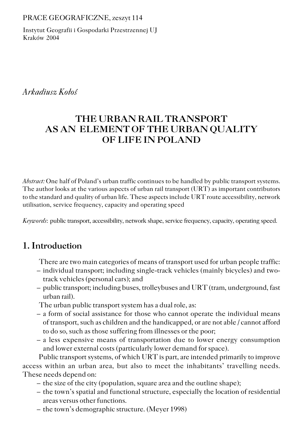#### PRACE GEOGRAFICZNE, zeszyt 114

Instytut Geografii i Gospodarki Przestrzennej UJ Kraków 2004

### *Arkadiusz Kołoś*

# **THE URBAN RAIL TRANSPORT AS AN ELEMENT OF THE URBAN QUALITY OF LIFE IN POLAND**

*Abstract:* One half of Poland's urban traffic continues to be handled by public transport systems. The author looks at the various aspects of urban rail transport (URT) as important contributors to the standard and quality of urban life. These aspects include URT route accessibility, network utilisation, service frequency, capacity and operating speed

*Keywords*: public transport, accessibility, network shape, service frequency, capacity, operating speed.

## **1. Introduction**

There are two main categories of means of transport used for urban people traffic:

- individual transport; including single−track vehicles (mainly bicycles) and two− track vehicles (personal cars); and
- public transport; including buses, trolleybuses and URT (tram, underground, fast urban rail).

The urban public transport system has a dual role, as:

- a form of social assistance for those who cannot operate the individual means of transport, such as children and the handicapped, or are not able / cannot afford to do so, such as those suffering from illnesses or the poor;
- a less expensive means of transportation due to lower energy consumption and lower external costs (particularly lower demand for space).

Public transport systems, of which URT is part, are intended primarily to improve access within an urban area, but also to meet the inhabitants' travelling needs. These needs depend on:

- the size of the city (population, square area and the outline shape);
- the town's spatial and functional structure, especially the location of residential areas versus other functions.
- the town's demographic structure. (Meyer 1998)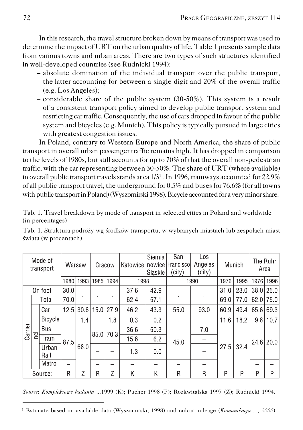In this research, the travel structure broken down by means of transport was used to determine the impact of URT on the urban quality of life. Table 1 presents sample data from various towns and urban areas. There are two types of such structures identified in well−developed countries (see Rudnicki 1994):

- absolute domination of the individual transport over the public transport, the latter accounting for between a single digit and 20% of the overall traffic (e.g. Los Angeles);
- considerable share of the public system (30−50%). This system is a result of a consistent transport policy aimed to develop public transport system and restricting car traffic. Consequently, the use of cars dropped in favour of the public system and bicycles (e.g. Munich). This policy is typically pursued in large cities with greatest congestion issues.

In Poland, contrary to Western Europe and North America, the share of public transport in overall urban passenger traffic remains high. It has dropped in comparison to the levels of 1980s, but still accounts for up to 70% of that the overall non−pedestrian traffic, with the car representing between 30−50%. The share of URT (where available) in overall public transport travels stands at ca 1/3 $^{\scriptscriptstyle 1}$  . In 1996, tramways accounted for 22.9% of all public transport travel, the underground for 0.5% and buses for 76.6% (for all towns with public transport in Poland) (Wyszomirski 1998). Bicycle accounted for a very minor share.

Tab. 1. Travel breakdown by mode of transport in selected cities in Poland and worldwide (in percentages)

| Mode of<br>transport |              |               | Warsaw |      | Cracow | Katowice | Siemia<br>Śląskie | San<br>nowice Francisco<br>(city) | Los<br>Angeles<br>(city) |      | Munich |      | The Ruhr<br>Area |      |
|----------------------|--------------|---------------|--------|------|--------|----------|-------------------|-----------------------------------|--------------------------|------|--------|------|------------------|------|
|                      |              | 1980          | 1993   | 1985 | 1994   | 1998     |                   |                                   | 1990                     | 1976 | 1995   | 1976 | 1996             |      |
| On foot              |              | 30.0          |        |      |        | 37.6     | 42.9              |                                   |                          | 31.0 | 23.0   | 38.0 | 25.0             |      |
| Carrier              |              | Total         | 70.0   |      |        |          | 62.4              | 57.1                              |                          |      | 69.0   | 77.0 | 62.0             | 75.0 |
|                      | <u>I</u> ncl | Car           | 12.5   | 30.6 | 15.0   | 27.9     | 46.2              | 43.3                              | 55.0                     | 93.0 | 60.9   | 49.4 | 65.6             | 69.3 |
|                      |              | Bicycle       | ٠      | 1.4  |        | 1.8      | 0.3               | 0.2                               | $\blacksquare$           |      | 11.6   | 18.2 | 9.8              | 10.7 |
|                      |              | Bus           |        | 68.0 | 85.0   | 70.3     | 36.6              | 50.3                              | 45.0                     | 7.0  | 27.5   | 32.4 | 24.6             | 20.0 |
|                      |              | Tram          | 87.5   |      |        |          | 15.6              | 6.2                               |                          |      |        |      |                  |      |
|                      |              | Urban<br>Rail |        |      |        |          | 1.3               | 0.0                               |                          |      |        |      |                  |      |
|                      |              | Metro         |        |      |        |          |                   |                                   |                          |      |        |      |                  |      |
| Source:              |              | R             | 7      | R    | Z      | Κ        | Κ                 | R                                 | R                        | P    | P      | P    | P                |      |

Tab. 1. Struktura podróży wg środków transportu, w wybranych miastach lub zespołach miast świata (w procentach)

*Source*: *Kompleksowe badania ...*1999 (K); Pucher 1998 (P); Rozkwitalska 1997 (Z); Rudnicki 1994.

<sup>1</sup> Estimate based on available data (Wyszomirski, 1998) and railcar mileage (*Komunikacja ...*, *2000*).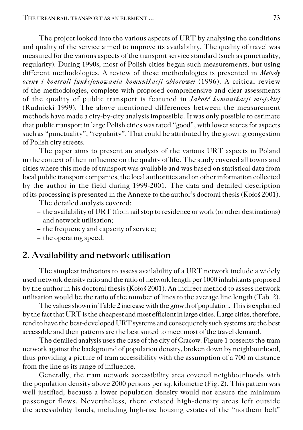The project looked into the various aspects of URT by analysing the conditions and quality of the service aimed to improve its availability. The quality of travel was measured for the various aspects of the transport service standard (such as punctuality, regularity). During 1990s, most of Polish cities began such measurements, but using different methodologies. A review of these methodologies is presented in *Metody oceny i kontroli funkcjonowania komunikacji zbiorowej* (1996). A critical review of the methodologies, complete with proposed comprehensive and clear assessments of the quality of public transport is featured in *Jakość komunikacji miejskiej* (Rudnicki 1999). The above mentioned differences between the measurement methods have made a city−by−city analysis impossible. It was only possible to estimate that public transport in large Polish cities was rated "good", with lower scores for aspects such as "punctuality", "regularity". That could be attributed by the growing congestion of Polish city streets.

The paper aims to present an analysis of the various URT aspects in Poland in the context of their influence on the quality of life. The study covered all towns and cities where this mode of transport was available and was based on statistical data from local public transport companies, the local authorities and on other information collected by the author in the field during 1999−2001. The data and detailed description of its processing is presented in the Annexe to the author's doctoral thesis (Kołoś 2001).

The detailed analysis covered:

- the availability of URT (from rail stop to residence or work (or other destinations) and network utilisation;
- the frequency and capacity of service;
- the operating speed.

### **2. Availability and network utilisation**

The simplest indicators to assess availability of a URT network include a widely used network density ratio and the ratio of network length per 1000 inhabitants proposed by the author in his doctoral thesis (Kołoś 2001). An indirect method to assess network utilisation would be the ratio of the number of lines to the average line length (Tab. 2).

The values shown in Table 2 increase with the growth of population. This is explained by the fact that URT is the cheapest and most efficient in large cities. Large cities, therefore, tend to have the best−developed URT systems and consequently such systems are the best accessible and their patterns are the best suited to meet most of the travel demand.

The detailed analysis uses the case of the city of Cracow. Figure 1 presents the tram network against the background of population density, broken down by neighbourhood, thus providing a picture of tram accessibility with the assumption of a 700 m distance from the line as its range of influence.

Generally, the tram network accessibility area covered neighbourhoods with the population density above 2000 persons per sq. kilometre (Fig. 2). This pattern was well justified, because a lower population density would not ensure the minimum passenger flows. Nevertheless, there existed high−density areas left outside the accessibility bands, including high−rise housing estates of the "northern belt"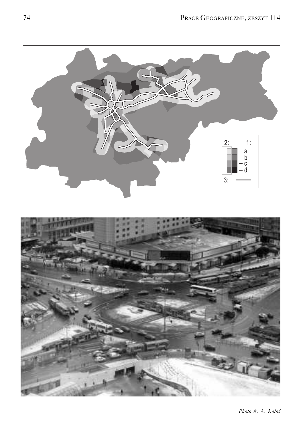



*Photo by A. Kołoś*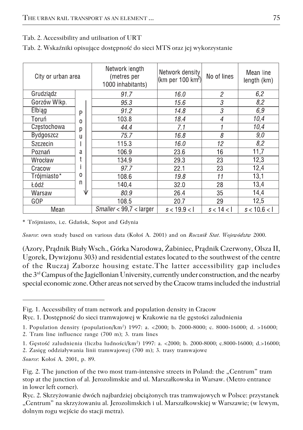Tab. 2. Accessibility and utilisation of URT

|  |  |  | Tab. 2. Wskaźniki opisujące dostępność do sieci MTS oraz jej wykorzystanie |
|--|--|--|----------------------------------------------------------------------------|
|--|--|--|----------------------------------------------------------------------------|

| City or urban area |   | Network length<br>(metres per<br>1000 inhabitants) | Network density<br>(km per 100 km <sup>2</sup> ) | No of lines                | Mean line<br>length (km) |
|--------------------|---|----------------------------------------------------|--------------------------------------------------|----------------------------|--------------------------|
| Grudziądz          |   | 91.7                                               | 16.0                                             | $\mathfrak{p}$             | 6,2                      |
| Gorzów Wlkp.       |   | 95.3                                               | 15.6                                             | 3                          | 8,2                      |
| <b>Elblag</b>      | P | 91.2                                               | 14.8                                             | $\boldsymbol{\mathcal{S}}$ | 6,9                      |
| Toruń              | 0 | 103.8                                              | 18.4                                             | $\overline{4}$             | 10,4                     |
| Częstochowa        | р | 44.4                                               | 7.1                                              |                            | 10,4                     |
| Bydgoszcz          | u | 75.7                                               | 16.8                                             | 8                          | 9,0                      |
| Szczecin           |   | 115.3                                              | 16.0                                             | 12                         | 8,2                      |
| Poznań             | a | 106.9                                              | 23.6                                             | 16                         | 11,7                     |
| Wrocław            |   | 134.9                                              | 29.3                                             | 23                         | 12,3                     |
| Cracow             |   | 97.7                                               | 22.1                                             | 23                         | 12,4                     |
| Trójmiasto*        | 0 | 108.6                                              | 19.8                                             | 11                         | 13,1                     |
| Łódź               | n | 140.4                                              | 32.0                                             | 28                         | 13,4                     |
| Warsaw             | ₩ | 80.9                                               | 26.4                                             | 35                         | 14,4                     |
| GOP                |   | 108.5                                              | 20.7                                             | 29                         | 12,5                     |
| Mean               |   | Smaller < 99.7 < larger                            | s < 19.9 <                                       | s < 14 <                   | s < 10.6 <               |

\* Trójmiasto, i.e. Gdańsk, Sopot and Gdynia

*Source*: own study based on various data (Kołoś A. 2001) and on *Rocznik Stat. Województw* 2000.

(Azory, Prądnik Biały Wsch., Górka Narodowa, Żabiniec, Prądnik Czerwony, Olsza II, Ugorek, Dywizjonu 303) and residential estates located to the southwest of the centre of the Ruczaj Zaborze housing estate.The latter accessibility gap includes the 3rd Campus of the Jagiellonian University, currently under construction, and the nearby special economic zone. Other areas not served by the Cracow trams included the industrial

Ryc. 1. Dostępność do sieci tramwajowej w Krakowie na tle gęstości zaludnienia

2. Tram line influence range (700 m); 3. tram lines

1. Gęstość zaludnienia (liczba ludności/km<sup>2</sup> ) 1997: a. <2000; b. 2000−8000; c.8000−16000; d.>16000;

2. Zasięg oddziaływania linii tramwajowej (700 m); 3. trasy tramwajowe

*Source*: Kołoś A. 2001, p. 89.

Fig. 1. Accessibility of tram network and population density in Cracow

<sup>1.</sup> Population density (population/km<sup>2</sup> ) 1997: a. <2000; b. 2000−8000; c. 8000−16000; d. >16000;

Fig. 2. The junction of the two most tram-intensive streets in Poland: the "Centrum" tram stop at the junction of al. Jerozolimskie and ul. Marszałkowska in Warsaw. (Metro entrance in lower left corner).

Ryc. 2. Skrzyżowanie dwóch najbardziej obciążonych tras tramwajowych w Polsce: przystanek "Centrum" na skrzyżowaniu al. Jerozolimskich i ul. Marszałkowskiej w Warszawie; (w lewym, dolnym rogu wejście do stacji metra).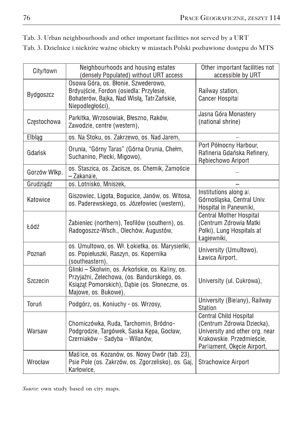| City/town    | Neighbourhoods and housing estates<br>(densely Populated) without URT access                                                                                               | Other important facilities not<br>accessible by URT                                                                                                       |
|--------------|----------------------------------------------------------------------------------------------------------------------------------------------------------------------------|-----------------------------------------------------------------------------------------------------------------------------------------------------------|
| Bydgoszcz    | Osowa Góra, os. Błonie, Szwederowo,<br>Brdyujście, Fordon (osiedla: Przylesie,<br>Bohaterów, Bajka, Nad Wisłą, Tatr Zańskie,<br>Niepodległości),                           | Railway station,<br><b>Cancer Hospital</b>                                                                                                                |
| Częstochowa  | Parkitka, Wrzosowiak, Błeszno, Raków,<br>Zawodzie, centre (western),                                                                                                       | Jasna Góra Monastery<br>(national shrine)                                                                                                                 |
| Elbląg       | os. Na Stoku, os. Zakrzewo, os. Nad Jarem,                                                                                                                                 |                                                                                                                                                           |
| Gdańsk       | Orunia, "Górny Taras" (Górna Orunia, Chełm,<br>Suchanino, Piecki, Migowo),                                                                                                 | Port Północny Harbour,<br>Rafineria Gdańska Refinery,<br>Rebiechowo Ariport                                                                               |
| Gorzów Wlkp. | os. Staszica, os. Zacisze, os. Chemik, Zamoście<br>- Zakanale,                                                                                                             |                                                                                                                                                           |
| Grudziądz    | os. Lotnisko, Mniszek,                                                                                                                                                     |                                                                                                                                                           |
| Katowice     | Giszowiec, Ligota, Bogucice, Janów, os. Witosa,<br>os. Paderewskiego, os. Józefowiec (western),                                                                            | Institutions along al.<br>Górnośląska, Central Univ.<br>Hospital in Panewniki,                                                                            |
| Łódź         | Żabieniec (northern), Teofilów (southern), os.<br>Radogoszcz-Wsch., Olechów, Augustów,                                                                                     | <b>Central Mother Hospital</b><br>(Centrum Zdrowia Matki<br>Polki), Lung Hospitals at<br>Łagiewniki,                                                      |
| Poznań       | os. Umultowo, os. Wł. Łokietka, os. Marysieńki,<br>os. Popiełuszki, Raszyn, os. Kopernika<br>(southeastern),                                                               | University (Umultowo),<br>Ławica Airport,                                                                                                                 |
| Szczecin     | Glinki - Skolwin, os. Arkońskie, os. Kaliny, os.<br>Przyjaźni, Żelechowa, (os. Bandurskiego, os.<br>Książąt Pomorskich), Dąbie (os. Słoneczne, os.<br>Majowe, os. Bukowe), | University (ul. Cukrowa),                                                                                                                                 |
| Toruń        | Podgórz, os. Koniuchy - os. Wrzosy,                                                                                                                                        | University (Bielany), Railway<br>Station                                                                                                                  |
| Warsaw       | Chomiczówka, Ruda, Tarchomin, Bródno-<br>Podgrodzie, Targówek, Saska Kępa, Gocław,<br>Czerniaków – Sadyba – Wilanów,                                                       | <b>Central Child Hospital</b><br>(Centrum Zdrowia Dziecka),<br>University and other org. near<br>Krakowskie, Przedmieście,<br>Parliament, Okęcie Airport, |
| Wrocław      | Maślice, os. Kozanów, os. Nowy Dwór (tab. 23),<br>Psie Pole (os. Zakrzów, os. Zgorzelisko), os. Gaj,<br>Karłowice,                                                         | Strachowice Airport                                                                                                                                       |

Tab. 3. Urban neighbourhoods and other important facilities not served by a URT

Tab. 3. Dzielnice i niektóre ważne obiekty w miastach Polski pozbawione dostępu do MTS

*Source*: own study based on city maps.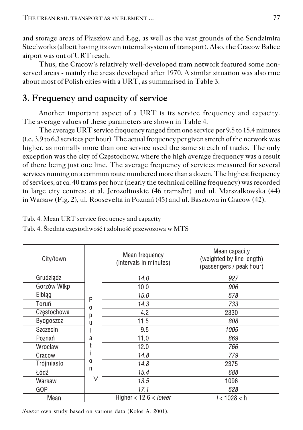and storage areas of Płaszłow and Łęg, as well as the vast grounds of the Sendzimira Steelworks (albeit having its own internal system of transport). Also, the Cracow Balice airport was out of URT reach.

Thus, the Cracow's relatively well−developed tram network featured some non− served areas − mainly the areas developed after 1970. A similar situation was also true about most of Polish cities with a URT, as summarised in Table 3.

### **3. Frequency and capacity of service**

Another important aspect of a URT is its service frequency and capacity. The average values of these parameters are shown in Table 4.

The average URT service frequency ranged from one service per 9.5 to 15.4 minutes (i.e. 3.9 to 6.3 services per hour). The actual frequency per given stretch of the network was higher, as normally more than one service used the same stretch of tracks. The only exception was the city of Częstochowa where the high average frequency was a result of there being just one line. The average frequency of services measured for several services running on a common route numbered more than a dozen. The highest frequency of services, at ca. 40 trams per hour (nearly the technical ceiling frequency) was recorded in large city centres: at al. Jerozolimskie (46 trams/hr) and ul. Marszałkowska (44) in Warsaw (Fig. 2), ul. Roosevelta in Poznań (45) and ul. Basztowa in Cracow (42).

| City/town    |                    | Mean frequency<br>(intervals in minutes) | Mean capacity<br>(weighted by line length)<br>(passengers / peak hour) |  |  |
|--------------|--------------------|------------------------------------------|------------------------------------------------------------------------|--|--|
| Grudziądz    |                    | 14.0                                     | 927                                                                    |  |  |
| Gorzów Wlkp. |                    | 10.0                                     | 906                                                                    |  |  |
| Eiblag       | P<br>$\Omega$      | 15.0                                     | 578                                                                    |  |  |
| Toruń        |                    | 14.3                                     | 733                                                                    |  |  |
| Częstochowa  | р                  | 4.2                                      | 2330                                                                   |  |  |
| Bydgoszcz    | u                  | 11.5                                     | 808                                                                    |  |  |
| Szczecin     |                    | 9.5                                      | 1005                                                                   |  |  |
| Poznań       | a                  | 11.0                                     | 869                                                                    |  |  |
| Wrocław      | $\Omega$<br>n<br>Ψ | 12.0                                     | 766                                                                    |  |  |
| Cracow       |                    | 14.8                                     | 779                                                                    |  |  |
| Trójmiasto   |                    | 14.8                                     | 2375                                                                   |  |  |
| Łódź         |                    | 15.4                                     | 688                                                                    |  |  |
| Warsaw       |                    | 13.5                                     | 1096                                                                   |  |  |
| GOP          |                    | 17.1                                     | 528                                                                    |  |  |
| Mean         |                    | Higher $<$ 12.6 $<$ lower                | /<1028 < h                                                             |  |  |

Tab. 4. Mean URT service frequency and capacity

Tab. 4. Średnia częstotliwość i zdolność przewozowa w MTS

*Source:* own study based on various data (Kołoś A. 2001).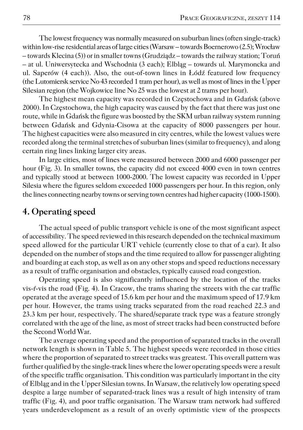The lowest frequency was normally measured on suburban lines (often single−track) within low−rise residential areas of large cities (Warsaw – towards Boernerowo (2.5); Wrocław – towards Klecina (5)) or in smaller towns (Grudziądz – towards the railway station; Toruń – at ul. Uniwersytecka and Wschodnia (3 each); Elbląg – towards ul. Marymoncka and ul. Saperów (4 each)). Also, the out−of−town lines in Łódź featured low frequency (the Lutomiersk service No 43 recorded 1 tram per hour), as well as most of lines in the Upper Silesian region (the Wojkowice line No 25 was the lowest at 2 trams per hour).

The highest mean capacity was recorded in Częstochowa and in Gdańsk (above 2000). In Częstochowa, the high capacity was caused by the fact that there was just one route, while in Gdańsk the figure was boosted by the SKM urban railway system running between Gdańsk and Gdynia−Cisowa at the capacity of 8000 passengers per hour. The highest capacities were also measured in city centres, while the lowest values were recorded along the terminal stretches of suburban lines (similar to frequency), and along certain ring lines linking larger city areas.

In large cities, most of lines were measured between 2000 and 6000 passenger per hour (Fig. 3). In smaller towns, the capacity did not exceed 4000 even in town centres and typically stood at between 1000−2000. The lowest capacity was recorded in Upper Silesia where the figures seldom exceeded 1000 passengers per hour. In this region, only the lines connecting nearby towns or serving town centres had higher capacity (1000−1500).

#### **4. Operating speed**

The actual speed of public transport vehicle is one of the most significant aspect of accessibility. The speed reviewed in this research depended on the technical maximum speed allowed for the particular URT vehicle (currently close to that of a car). It also depended on the number of stops and the time required to allow for passenger alighting and boarding at each stop, as well as on any other stops and speed reductions necessary as a result of traffic organisation and obstacles, typically caused road congestion.

Operating speed is also significantly influenced by the location of the tracks vis−ŕ−vis the road (Fig. 4). In Cracow, the trams sharing the streets with the car traffic operated at the average speed of 15.6 km per hour and the maximum speed of 17.9 km per hour. However, the trams using tracks separated from the road reached 22.3 and 23.3 km per hour, respectively. The shared/separate track type was a feature strongly correlated with the age of the line, as most of street tracks had been constructed before the Second World War.

The average operating speed and the proportion of separated tracks in the overall network length is shown in Table 5. The highest speeds were recorded in those cities where the proportion of separated to street tracks was greatest. This overall pattern was further qualified by the single−track lines where the lower operating speeds were a result of the specific traffic organisation. This condition was particularly important in the city of Elbląg and in the Upper Silesian towns. In Warsaw, the relatively low operating speed despite a large number of separated−track lines was a result of high intensity of tram traffic (Fig. 4), and poor traffic organisation. The Warsaw tram network had suffered years underdevelopment as a result of an overly optimistic view of the prospects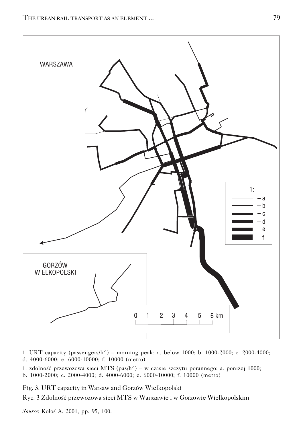

1. URT capacity (passengers/h−1) – morning peak: a. below 1000; b. 1000−2000; c. 2000−4000; d. 4000−6000; e. 6000−10000; f. 10000 (metro)

1. zdolność przewozowa sieci MTS (pas/h−1) – w czasie szczytu porannego: a. poniżej 1000; b. 1000−2000; c. 2000−4000; d. 4000−6000; e. 6000−10000; f. 10000 (metro)

Fig. 3. URT capacity in Warsaw and Gorzów Wielkopolski

Ryc. 3 Zdolność przewozowa sieci MTS w Warszawie i w Gorzowie Wielkopolskim

*Source*: Kołoś A. 2001, pp. 95, 100.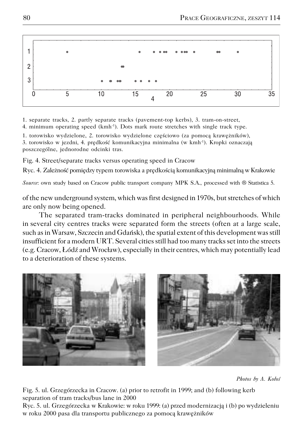

1. separate tracks, 2. partly separate tracks (pavement−top kerbs), 3. tram−on−street,

4. minimum operating speed (kmh−1). Dots mark route stretches with single track type.

1. torowisko wydzielone, 2. torowisko wydzielone częściowo (za pomocą krawężników), 3. torowisko w jezdni, 4. prędkość komunikacyjna minimalna (w kmh−1). Kropki oznaczają poszczególne, jednorodne odcinki tras.

Fig. 4. Street/separate tracks versus operating speed in Cracow

Ryc. 4. Zależność pomiędzy typem torowiska a prędkością komunikacyjną minimalną w Krakowie

*Source*: own study based on Cracow public transport company MPK S.A., processed with ® Statistica 5.

of the new underground system, which was first designed in 1970s, but stretches of which are only now being opened.

The separated tram−tracks dominated in peripheral neighbourhoods. While in several city centres tracks were separated form the streets (often at a large scale, such as in Warsaw, Szczecin and Gdańsk), the spatial extent of this development was still insufficient for a modern URT. Several cities still had too many tracks set into the streets (e.g. Cracow, Łódź and Wrocław), especially in their centres, which may potentially lead to a deterioration of these systems.



*Photos by A. Kołoś*

Fig. 5. ul. Grzegórzecka in Cracow. (a) prior to retrofit in 1999; and (b) following kerb separation of tram tracks/bus lane in 2000

Ryc. 5. ul. Grzegórzecka w Krakowie: w roku 1999: (a) przed modernizacją i (b) po wydzieleniu w roku 2000 pasa dla transportu publicznego za pomocą krawężników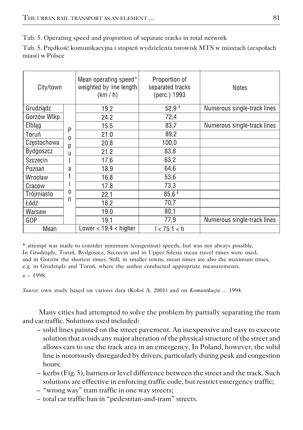Tab. 5. Operating speed and proportion of separate tracks in total network

Tab. 5. Prędkość komunikacyjna i stopień wydzielenia torowisk MTS w miastach (zespołach miast) w Polsce

| City/town     |   | Mean operating speed*<br>weighted by line length<br>(km / h) | Proportion of<br>separated tracks<br>(perc.) 1993 | <b>Notes</b>                |
|---------------|---|--------------------------------------------------------------|---------------------------------------------------|-----------------------------|
| Grudziądz     |   | 19.2                                                         | $52,9^{a}$                                        | Numerous single-track lines |
| Gorzów Wlkp.  |   | 24.2                                                         | 72,4                                              |                             |
| <b>Elbląg</b> | P | 15.5                                                         | 83,7                                              | Numerous single-track lines |
| Toruń         | 0 | 21.0                                                         | 89.2                                              |                             |
| Częstochowa   | р | 20.8                                                         | 100,0                                             |                             |
| Bydgoszcz     | u | 21.2                                                         | 83,8                                              |                             |
| Szczecin      |   | 17.6                                                         | 63,2                                              |                             |
| Poznań        | a | 18.9                                                         | 64,6                                              |                             |
| Wrocław       |   | 16.8                                                         | 53,6                                              |                             |
| Cracow        |   | 17.8                                                         | 73,3                                              |                             |
| Trójmiasto    | 0 | 22.1                                                         | 85,6 <sup>a</sup>                                 |                             |
| Łódź          | n | 18.2                                                         | 70,7                                              |                             |
| Warsaw        |   | 19.0                                                         | 80,1                                              |                             |
| GOP           |   | 19.1                                                         | 77,9                                              | Numerous single-track lines |
| Mean          |   | Lower $< 19.4 <$ higher                                      | 1 < 75.1 < h                                      |                             |

\* attempt was made to consider minimum (congestion) speeds, but was not always possible. In Grudziądz, Toruń, Bydgoszcz, Szczecin and in Upper Silesia mean travel times were used, and in Gorzów the shortest times. Still, in smaller towns, mean times are also the maximum times, e.g. in Grudziądz and Toruń, where the author conducted appropriate measurements. a – 1998.

*Source*: own study based on various data (Kołoś A. 2001) and on *Komunikacja ...* 1994.

Many cities had attempted to solve the problem by partially separating the tram and car traffic. Solutions used included:

- solid lines painted on the street pavement. An inexpensive and easy to execute solution that avoids any major alteration of the physical structure of the street and allows cars to use the track area in an emergency. In Poland, however, the solid line is notoriously disregarded by drivers, particularly during peak and congestion hours;
- kerbs (Fig. 5), barriers or level difference between the street and the track. Such solutions are effective in enforcing traffic code, but restrict emergency traffic;
- "wrong way" tram traffic in one way streets;
- total car traffic ban in "pedestrian−and−tram" streets.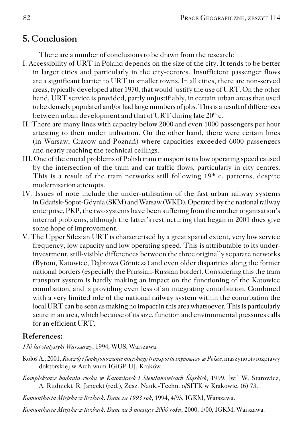## **5. Conclusion**

There are a number of conclusions to be drawn from the research:

- I. Accessibility of URT in Poland depends on the size of the city. It tends to be better in larger cities and particularly in the city−centres. Insufficient passenger flows are a significant barrier to URT in smaller towns. In all cities, there are non−served areas, typically developed after 1970, that would justify the use of URT. On the other hand, URT service is provided, partly unjustifiably, in certain urban areas that used to be densely populated and/or had large numbers of jobs. This is a result of differences between urban development and that of URT during late 20<sup>th</sup> c.
- II. There are many lines with capacity below 2000 and even 1000 passengers per hour attesting to their under utilisation. On the other hand, there were certain lines (in Warsaw, Cracow and Poznań) where capacities exceeded 6000 passengers and nearly reaching the technical ceilings.
- III. One of the crucial problems of Polish tram transport is its low operating speed caused by the intersection of the tram and car traffic flows, particularly in city centres. This is a result of the tram networks still following  $19<sup>th</sup>$  c. patterns, despite modernisation attempts.
- IV. Issues of note include the under−utilisation of the fast urban railway systems in Gdańsk−Sopot−Gdynia (SKM) and Warsaw (WKD). Operated by the national railway enterprise, PKP, the two systems have been suffering from the mother organisation's internal problems, although the latter's restructuring that began in 2001 does give some hope of improvement.
- V. The Upper Silesian URT is characterised by a great spatial extent, very low service frequency, low capacity and low operating speed. This is attributable to its under− investment, still−visible differences between the three originally separate networks (Bytom, Katowice, Dąbrowa Górnicza) and even older disparities along the former national borders (especially the Prussian−Russian border). Considering this the tram transport system is hardly making an impact on the functioning of the Katowice conurbation, and is providing even less of an integrating contribution. Combined with a very limited role of the national railway system within the conurbation the local URT can be seen as making no impact in this area whatsoever. This is particularly acute in an area, which because of its size, function and environmental pressures calls for an efficient URT.

### **References:**

*130 lat statystyki Warszawy*, 1994, WUS, Warszawa.

- Kołoś A., 2001, *Rozwój i funkcjonowanie miejskiego transportu szynowego w Polsce*, maszynopis rozprawy doktorskiej w Archiwum IGiGP UJ, Kraków.
- *Kompleksowe badania ruchu w Katowicach i Siemianowicach Śląskich*, 1999, [w:] W. Starowicz, A. Rudnicki, R. Janecki (red.), Zesz. Nauk.−Techn. o/SITK w Krakowie, (6) 73.
- *Komunikacja Miejska w liczbach. Dane za 1993 rok*, 1994, 4/93, IGKM, Warszawa.
- *Komunikacja Miejska w liczbach. Dane za 3 miesiące 2000 roku*, 2000, 1/00, IGKM, Warszawa.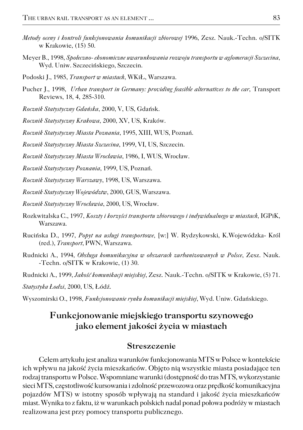- *Metody oceny i kontroli funkcjonowania komunikacji zbiorowej* 1996, Zesz. Nauk.−Techn. o/SITK w Krakowie, (15) 50.
- Meyer B., 1998, *Społeczno− ekonomiczne uwarunkowania rozwoju transportu w aglomeracji Szczecina*, Wyd. Uniw. Szczecińskiego, Szczecin.
- Podoski J., 1985, *Transport w miastach*, WKiŁ, Warszawa.
- Pucher J., 1998, *Urban transport in Germany: providing feasible alternatives to the car*, Transport Reviews, 18, 4, 285−310.
- *Rocznik Statystyczny Gdańska*, 2000, V, US, Gdańsk.
- *Rocznik Statystyczny Krakowa*, 2000, XV, US, Kraków.
- *Rocznik Statystyczny Miasta Poznania*, 1995, XIII, WUS, Poznań.
- *Rocznik Statystyczny Miasta Szczecina*, 1999, VI, US, Szczecin.
- *Rocznik Statystyczny Miasta Wrocławia*, 1986, I, WUS, Wrocław.
- *Rocznik Statystyczny Poznania*, 1999, US, Poznań.
- *Rocznik Statystyczny Warszawy*, 1998, US, Warszawa.
- *Rocznik Statystyczny Województw*, 2000, GUS, Warszawa.
- *Rocznik Statystyczny Wrocławia*, 2000, US, Wrocław.
- Rozkwitalska C., 1997, *Koszty i korzyści transportu zbiorowego i indywidualnego w miastach*, IGPiK, Warszawa.
- Rucińska D., 1997, *Popyt na usługi transportowe,* [w:] W. Rydzykowski, K.Wojewódzka− Król (red.), *Transport*, PWN, Warszawa.
- Rudnicki A., 1994, *Obsługa komunikacyjna w obszarach zurbanizowanych w Polsce*, Zesz. Nauk. −Techn. o/SITK w Krakowie, (1) 30.
- Rudnicki A., 1999, *Jakość komunikacji miejskiej*, Zesz. Nauk.−Techn. o/SITK w Krakowie, (5) 71.

*Statystyka Łodzi*, 2000, US, Łódź.

Wyszomirski O., 1998, *Funkcjonowanie rynku komunikacji miejskiej*, Wyd. Uniw. Gdańskiego.

### **Funkcjonowanie miejskiego transportu szynowego jako element jakości życia w miastach**

#### **Streszczenie**

Celem artykułu jest analiza warunków funkcjonowania MTS w Polsce w kontekście ich wpływu na jakość życia mieszkańców. Objęto nią wszystkie miasta posiadające ten rodzaj transportu w Polsce. Wspomniane warunki (dostępność do tras MTS, wykorzystanie sieci MTS, częstotliwość kursowania i zdolność przewozowa oraz prędkość komunikacyjna pojazdów MTS) w istotny sposób wpływają na standard i jakość życia mieszkańców miast. Wynika to z faktu, iż w warunkach polskich nadal ponad połowa podróży w miastach realizowana jest przy pomocy transportu publicznego.